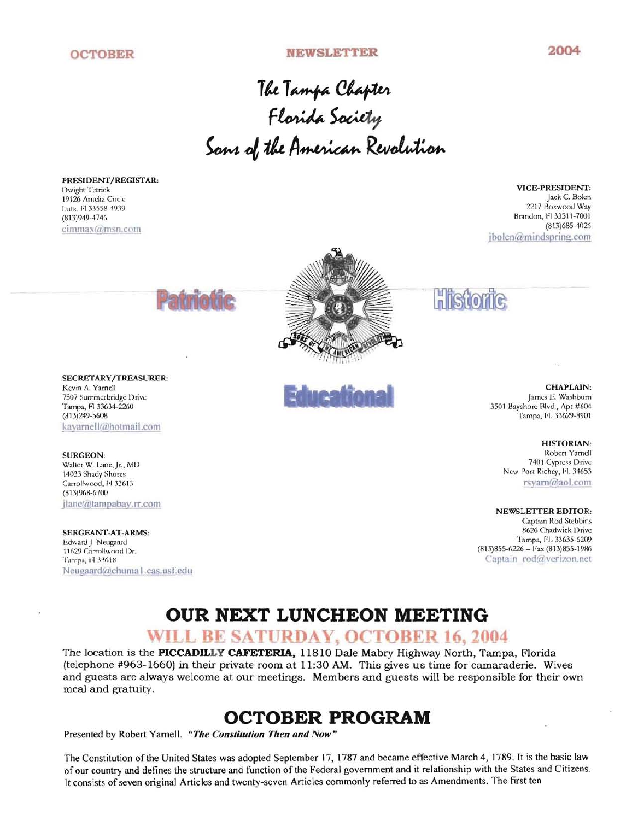#### **OCTOBER NEWSLETTER 2004**

The Tampa Chapter re <sub>T</sub>ampa Chapier<br>Florida Society the American Revolution

PRESIDENT/REGISTAR:

Dwight Tetrick VICE-PRESIDENT: (9126 Amelia Circle Jack C. Bolen Luiz, Fl 33558-4939 2217 Boxwood Way (813)949-4746 Brandon, Fi 33511-7001<br>(813)685-4026 Brandon, Fi 33511-7001 (813)685-4026 Cimlllax(llJlllsn.com jbolen(@mindspring.com



SECRETARY/TREASURER: Tampa, Fl 33634-2260 3501 Bayshorc Blvd., Apt #604 3501 Bayshorc Blvd., Apt #604 3501 Bayshorc Blvd., Apt #604<br>(813)249-5608 3501 I:l 33629-8901 kayarnell@hotmail.com

SURGEON: Walter W. Lane, Jr., MD 14033 Shady Shores Carrollwood, Fl 33613  $(81.3)968 - 6700$ jlanc@tampabay.rr.com NEWSLETTER EDITOR:

**SERGEANT-AT-ARMS:** 8626 Chadwick Drive 8626 Chadwick Drive 8626 Chadwick Drive 8626 Chadwick Drive 8626 Chadwick Drive 8626 Chadwick Drive 8626 Chadwick Drive 8626 Chadwick Drive 8626 Chadwick Drive 8626 Chadwick Drive 86 Edward J. Neugaard<br>11629 Carrollwood Dr. Tampa, FI 33618 Captain Itod(@verizon.net) Neugaard@chuma1.cas.usf.edu

#### Kevin A. Yarnell **CHAPLAIN:** CHAPLAIN: 7507 Summerbridge Drive lames E. Washburn et al. et al. et al. et al. et al. et al. et al. et al. et al. et al. et al. et al. et al. et al. et al. et al. et al. et al. et al. et al. et al. et al. et al. et al. et al. et al

Tampa, Fl. 33629-8901

**HISTORIAN:** Robert Yamell 7401 Cypress Drive New Port Richey, Fl. 34653 rsvarn@aol.com

Captain Rod Stebbins  $(813)855-6226 - Fax (813)855-1986$ 

# **OUR NEXT LUNCHEON MEETING**

## WILL BE SATURDAY, OCTOBER 16, 2004

The location is the **PICCADILLY CAFETERIA,** 11810 Dale Mabry Highway North, Tampa, Florida (telephone #963-1660) in their private room at 11 :30 AM. This gives us time for camaraderie. Wives and guests are always welcome at our meetings. Members and guests will be responsible for their own meal and gratuity.

# **OCTOBER PROGRAM**

Presented by Robert Yarnell. "The Constitution Then and Now"

The Constitution of the United States was adopted September 17, 1787 and became effective March 4, 1789. It is the basic law of our country and defines the structure and function of the Federal government and it relationship with the States and Citizens. It consists of seven original Articles and twenty-seven Articles commonly referred to as Amendments. The first ten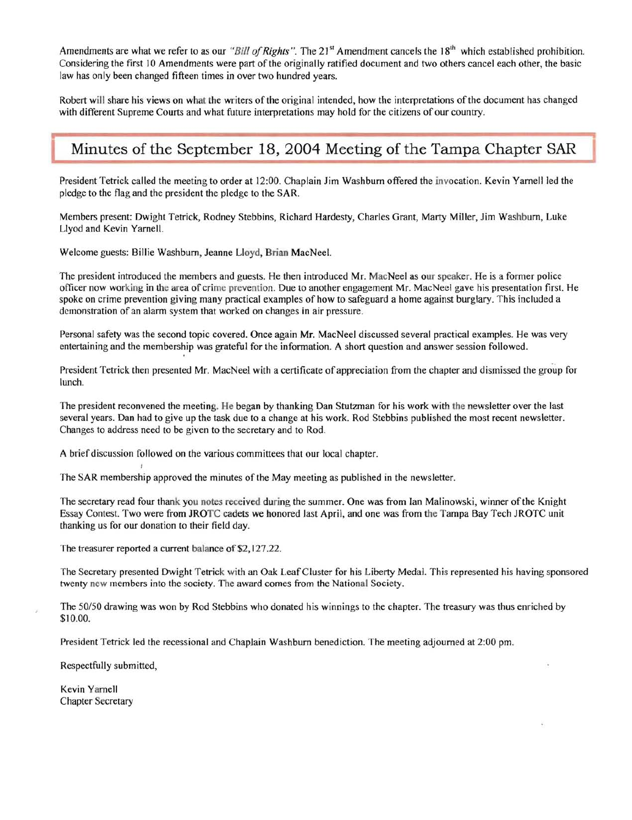Amendments are what we refer to as our "Bill of Rights". The 21<sup>st</sup> Amendment cancels the 18<sup>th</sup> which established prohibition. Considering the first 10 Amendments were part of the originally ratified document and two others cancel each other, the basic law has only been changed fifteen times in over two hundred years.

Robert will share his views on what the writers of the original intended, how the interpretations of the document has changed with different Supreme Courts and what future interpretations may hold for the citizens of our country.

### Minutes of the September 18, 2004 Meeting of the Tampa Chapter SAR

President Tetrick called the meeting to order at 12:00. Chaplain Jim Washburn offered the invocation. Kevin Yarnell led the pledge to the flag and the president the pledge to the SAR.

Members present: Dwight Tetrick, Rodney Stebbins, Richard Hardesty, Charles Grant, Marty Miller, Jim Washburn, Luke Llyod and Kevin Yarnell.

Welcome guests: Billie Washburn, Jeanne Lloyd, Brian MacNeel.

The president introduced the members and guests. He then introduced Mr. MacNeel as our speaker. He is a former police officer now working in the area of crime prevention. Due to another engagement Mr. MacNeel gave his presentation first. He spoke on crime prevention giving many practical examples of how to safeguard a home against burglary. This included a demonstration of an alarm system that worked on changes in air pressure.

Personal safety was the second topic covered. Once again Mr. MacNeel discussed several practical examples. He was very entertaining and the membership was grateful for the information. A short question and answer session followed.

President Tetrick then presented Mr. MacNeel with a certificate of appreciation from the chapter and dismissed the group for lunch.

The president reconvened the meeting. He began by thanking Dan Stutzman for his work with the newsletter over the last several years. Dan had to give up the task due to a change at his work. Rod Stebbins published the most recent newsletter. Changes to address need to be given to the secretary and to Rod.

A brief discussion followed on the various committees that our local chapter.

The SAR membership approved the minutes of the May meeting as published in the newsletter.

The secretary read four thank you notes received during the summer. One was from Ian Malinowski, winner of the Knight Essay Contest. Two were from JROTC cadets we honored last April, and one was from the Tampa Bay Tech JROTC unit thanking us for our donation to their field day.

The treasurer reported a current balance of \$2, 127.22.

The Secretary presented Dwight Tetrick with an Oak Leaf Cluster for his Liberty Medal. This represented his having sponsored twenty new members into the society. The award comes from the National Society.

The *50/50* drawing was won by Rod Stebbins who donated his winnings to the chapter. The treasury was thus enriched by \$10.00.

President Tetrick led the recessional and Chaplain Washburn benediction. The meeting adjourned at 2:00 pm.

Respectfully submitted,

Kevin Yarnell Chapter Secretary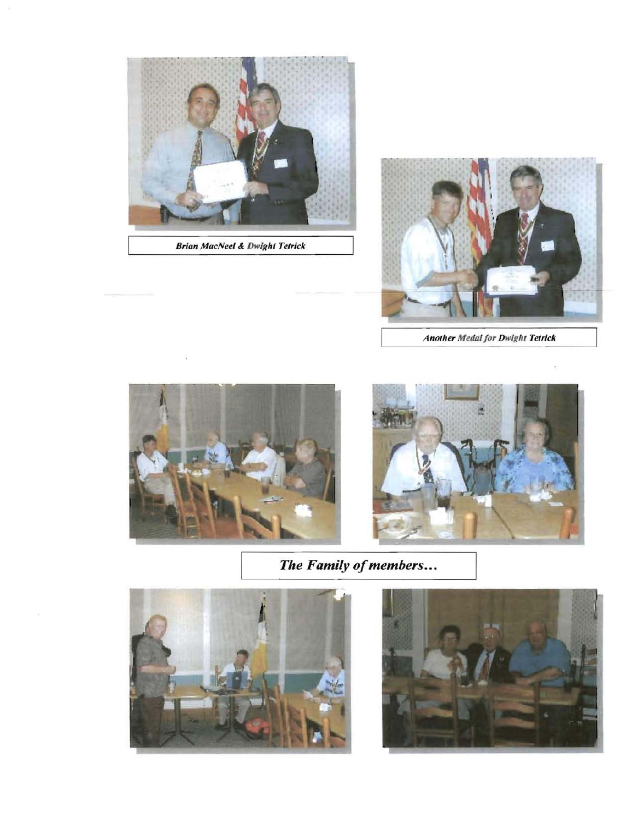

**Brian MacNeel & Dwight Tetrick** 



**Another Medal for Dwight Tetrick** 





The Family of members...